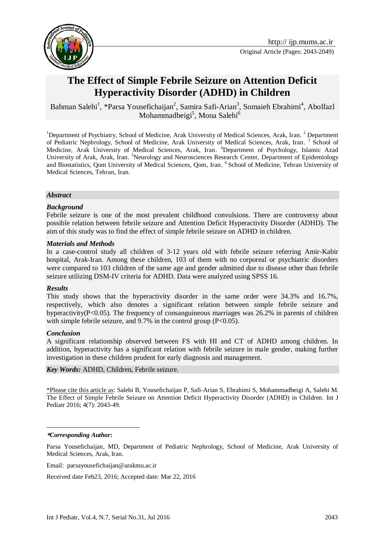

# **The Effect of Simple Febrile Seizure on Attention Deficit Hyperactivity Disorder (ADHD) in Children**

Bahman Salehi<sup>1</sup>, \*Parsa Yousefichaijan<sup>2</sup>, Samira Safi-Arian<sup>3</sup>, Somaieh Ebrahimi<sup>4</sup>, Abolfazl Mohammadbeigi<sup>5</sup>, Mona Salehi<sup>6</sup>

<sup>1</sup>Department of Psychiatry, School of Medicine, Arak University of Medical Sciences, Arak, Iran. <sup>2</sup> Department of Pediatric Nephrology, School of Medicine, Arak University of Medical Sciences, Arak, Iran.<sup>3</sup> School of Medicine, Arak University of Medical Sciences, Arak, Iran. <sup>4</sup>Department of Psychology, Islamic Azad University of Arak, Arak, Iran. <sup>5</sup>Neurology and Neurosciences Research Center, Department of Epidemiology and Biostatistics, Qom University of Medical Sciences, Qom, Iran. <sup>6</sup> School of Medicine, Tehran University of Medical Sciences, Tehran, Iran.

### *Abstract*

### *Background*

Febrile seizure is one of the most prevalent childhood convulsions. There are controversy about possible relation between febrile seizure and Attention Deficit Hyperactivity Disorder (ADHD). The aim of this study was to find the effect of simple febrile seizure on ADHD in children.

#### *Materials and Methods*

In a case-control study all children of 3-12 years old with febrile seizure referring Amir-Kabir hospital, Arak-Iran. Among these children, 103 of them with no corporeal or psychiatric disorders were compared to 103 children of the same age and gender admitted due to disease other than febrile seizure utilizing DSM-IV criteria for ADHD. Data were analyzed using SPSS 16.

### *Results*

This study shows that the hyperactivity disorder in the same order were 34.3% and 16.7%, respectively, which also denotes a significant relation between simple febrile seizure and hyperactivity( $P<0.05$ ). The frequency of consanguineous marriages was 26.2% in parents of children with simple febrile seizure, and  $9.7\%$  in the control group (P<0.05).

### *Conclusion*

A significant relationship observed between FS with HI and CT of ADHD among children. In addition, hyperactivity has a significant relation with febrile seizure in male gender, making further investigation in these children prudent for early diagnosis and management.

*Key Words:* ADHD, Children, Febrile seizure.

\*Please cite this article as: Salehi B, Yousefichaijan P, Safi-Arian S, Ebrahimi S, Mohammadbeigi A, Salehi M. The Effect of Simple Febrile Seizure on Attention Deficit Hyperactivity Disorder (ADHD) in Children. Int J Pediatr 2016; 4(7): 2043-49.

#### **\****Corresponding Author:*

<u>.</u>

Parsa Yousefichaijan, MD, Department of Pediatric Nephrology, School of Medicine, Arak University of Medical Sciences, Arak, Iran.

Email: [parsayousefichaijan@a](mailto:%20parsayousefichaijan@)rakmu.ac.ir

Received date Feb23, 2016; Accepted date: Mar 22, 2016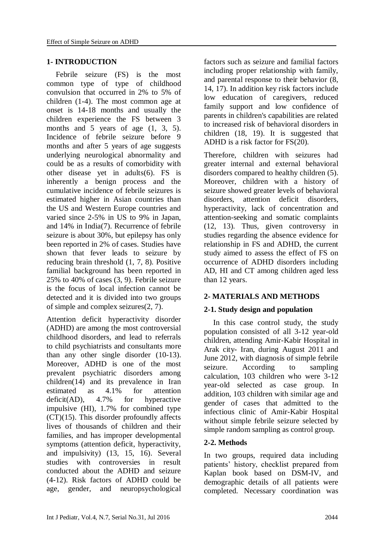## **1- INTRODUCTION**

Febrile seizure (FS) is the most common type of type of childhood convulsion that occurred in 2% to 5% of children [\(1-4\)](#page-5-0). The most common age at onset is 14-18 months and usually the children experience the FS between 3 months and 5 years of age  $(1, 3, 5)$  $(1, 3, 5)$  $(1, 3, 5)$  $(1, 3, 5)$  $(1, 3, 5)$ . Incidence of febrile seizure before 9 months and after 5 years of age suggests underlying neurological abnormality and could be as a results of comorbidity with other disease yet in adults[\(6\)](#page-5-3). FS is inherently a benign process and the cumulative incidence of febrile seizures is estimated higher in Asian countries than the US and Western Europe countries and varied since 2-5% in US to 9% in Japan, and 14% in India[\(7\)](#page-5-4). Recurrence of febrile seizure is about 30%, but epilepsy has only been reported in 2% of cases. Studies have shown that fever leads to seizure by reducing brain threshold [\(1,](#page-5-0) [7,](#page-5-4) [8\)](#page-5-5). Positive familial background has been reported in 25% to 40% of cases [\(3,](#page-5-1) [9\)](#page-5-6). Febrile seizure is the focus of local infection cannot be detected and it is divided into two groups of simple and complex seizures[\(2,](#page-5-7) [7\)](#page-5-4).

Attention deficit hyperactivity disorder (ADHD) are among the most controversial childhood disorders, and lead to referrals to child psychiatrists and consultants more than any other single disorder [\(10-13\)](#page-5-8). Moreover, ADHD is one of the most prevalent psychiatric disorders among children[\(14\)](#page-6-0) and its prevalence in Iran estimated as 4.1% for attention deficit(AD), 4.7% for hyperactive impulsive (HI), 1.7% for combined type  $(CT)(15)$  $(CT)(15)$ . This disorder profoundly affects lives of thousands of children and their families, and has improper developmental symptoms (attention deficit, hyperactivity, and impulsivity) [\(13,](#page-6-2) [15,](#page-6-1) [16\)](#page-6-3). Several studies with controversies in result conducted about the ADHD and seizure (4-12). Risk factors of ADHD could be age, gender, and neuropsychological

factors such as seizure and familial factors including proper relationship with family, and parental response to their behavior [\(8,](#page-5-5) [14,](#page-6-0) [17\)](#page-6-4). In addition key risk factors include low education of caregivers, reduced family support and low confidence of parents in children's capabilities are related to increased risk of behavioral disorders in children [\(18,](#page-6-5) [19\)](#page-6-6). It is suggested that ADHD is a risk factor for FS[\(20\)](#page-6-7).

Therefore, children with seizures had greater internal and external behavioral disorders compared to healthy children (5). Moreover, children with a history of seizure showed greater levels of behavioral disorders, attention deficit disorders, hyperactivity, lack of concentration and attention-seeking and somatic complaints (12, 13). Thus, given controversy in studies regarding the absence evidence for relationship in FS and ADHD, the current study aimed to assess the effect of FS on occurrence of ADHD disorders including AD, HI and CT among children aged less than 12 years.

# **2- MATERIALS AND METHODS**

# **2-1. Study design and population**

In this case control study, the study population consisted of all 3-12 year-old children, attending Amir-Kabir Hospital in Arak city- Iran, during August 2011 and June 2012, with diagnosis of simple febrile seizure. According to sampling calculation, 103 children who were 3-12 year-old selected as case group. In addition, 103 children with similar age and gender of cases that admitted to the infectious clinic of Amir-Kabir Hospital without simple febrile seizure selected by simple random sampling as control group.

# **2-2. Methods**

In two groups, required data including patients' history, checklist prepared from Kaplan book based on DSM-IV, and demographic details of all patients were completed. Necessary coordination was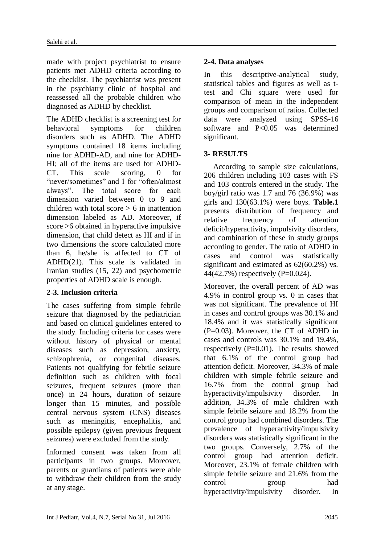made with project psychiatrist to ensure patients met ADHD criteria according to the checklist. The psychiatrist was present in the psychiatry clinic of hospital and reassessed all the probable children who diagnosed as ADHD by checklist.

The ADHD checklist is a screening test for behavioral symptoms for children disorders such as ADHD. The ADHD symptoms contained 18 items including nine for ADHD-AD, and nine for ADHD-HI; all of the items are used for ADHD-CT. This scale scoring, 0 for "never/sometimes" and 1 for "often/almost always". The total score for each dimension varied between 0 to 9 and children with total score  $> 6$  in inattention dimension labeled as AD. Moreover, if score >6 obtained in hyperactive impulsive dimension, that child detect as HI and if in two dimensions the score calculated more than 6, he/she is affected to CT of ADHD[\(21\)](#page-6-8). This scale is validated in Iranian studies [\(15,](#page-6-1) [22\)](#page-6-9) and psychometric properties of ADHD scale is enough.

# **2-3. Inclusion criteria**

The cases suffering from simple febrile seizure that diagnosed by the pediatrician and based on clinical guidelines entered to the study. Including criteria for cases were without history of physical or mental diseases such as depression, anxiety, schizophrenia, or congenital diseases. Patients not qualifying for febrile seizure definition such as children with focal seizures, frequent seizures (more than once) in 24 hours, duration of seizure longer than 15 minutes, and possible central nervous system (CNS) diseases such as meningitis, encephalitis, and possible epilepsy (given previous frequent seizures) were excluded from the study.

Informed consent was taken from all participants in two groups. Moreover, parents or guardians of patients were able to withdraw their children from the study at any stage.

# **2-4. Data analyses**

In this descriptive-analytical study, statistical tables and figures as well as ttest and Chi square were used for comparison of mean in the independent groups and comparison of ratios. Collected<br>data were analyzed using SPSS-16 data were analyzed software and P<0.05 was determined significant.

# **3- RESULTS**

According to sample size calculations, 206 children including 103 cases with FS and 103 controls entered in the study. The boy/girl ratio was 1.7 and 76 (36.9%) was girls and 130(63.1%) were boys. **Table.1** presents distribution of frequency and relative frequency of attention deficit/hyperactivity, impulsivity disorders, and combination of these in study groups according to gender. The ratio of ADHD in cases and control was statistically significant and estimated as  $62(60.2\%)$  vs. 44(42.7%) respectively (P=0.024).

Moreover, the overall percent of AD was 4.9% in control group vs. 0 in cases that was not significant. The prevalence of HI in cases and control groups was 30.1% and 18.4% and it was statistically significant (P=0.03). Moreover, the CT of ADHD in cases and controls was 30.1% and 19.4%, respectively  $(P=0.01)$ . The results showed that 6.1% of the control group had attention deficit. Moreover, 34.3% of male children with simple febrile seizure and 16.7% from the control group had hyperactivity/impulsivity disorder. In addition, 34.3% of male children with simple febrile seizure and 18.2% from the control group had combined disorders. The prevalence of hyperactivity/impulsivity disorders was statistically significant in the two groups. Conversely, 2.7% of the control group had attention deficit. Moreover, 23.1% of female children with simple febrile seizure and 21.6% from the control group had hyperactivity/impulsivity disorder. In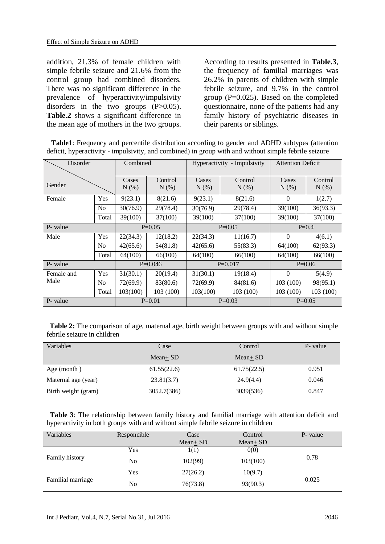addition, 21.3% of female children with simple febrile seizure and 21.6% from the control group had combined disorders. There was no significant difference in the prevalence of hyperactivity/impulsivity disorders in the two groups  $(P>0.05)$ . **Table.2** shows a significant difference in the mean age of mothers in the two groups. According to results presented in **Table.3**, the frequency of familial marriages was 26.2% in parents of children with simple febrile seizure, and 9.7% in the control group (P=0.025). Based on the completed questionnaire, none of the patients had any family history of psychiatric diseases in their parents or siblings.

 **Table1**: Frequency and percentile distribution according to gender and ADHD subtypes (attention deficit, hyperactivity - impulsivity, and combined) in group with and without simple febrile seizure

| Disorder           |                | Combined         |                    | Hyperactivity - Impulsivity |                    | <b>Attention Deficit</b> |                    |
|--------------------|----------------|------------------|--------------------|-----------------------------|--------------------|--------------------------|--------------------|
| Gender             |                | Cases<br>$N(\%)$ | Control<br>$N(\%)$ | Cases<br>$N(\%)$            | Control<br>$N(\%)$ | Cases<br>$N(\%)$         | Control<br>$N(\%)$ |
| Female             | Yes            | 9(23.1)          | 8(21.6)            | 9(23.1)                     | 8(21.6)            | $\Omega$                 | 1(2.7)             |
|                    | N <sub>0</sub> | 30(76.9)         | 29(78.4)           | 30(76.9)                    | 29(78.4)           | 39(100)                  | 36(93.3)           |
|                    | Total          | 39(100)          | 37(100)            | 39(100)                     | 37(100)            | 39(100)                  | 37(100)            |
| P- value           |                | $P=0.05$         |                    | $P=0.05$                    |                    | $P=0.4$                  |                    |
| Male               | Yes            | 22(34.3)         | 12(18.2)           | 22(34.3)                    | 11(16.7)           | $\Omega$                 | 4(6.1)             |
|                    | N <sub>0</sub> | 42(65.6)         | 54(81.8)           | 42(65.6)                    | 55(83.3)           | 64(100)                  | 62(93.3)           |
|                    | Total          | 64(100)          | 66(100)            | 64(100)                     | 66(100)            | 64(100)                  | 66(100)            |
| P- value           |                | $P=0.046$        |                    | $P=0.017$                   |                    | $P=0.06$                 |                    |
| Female and<br>Male | Yes            | 31(30.1)         | 20(19.4)           | 31(30.1)                    | 19(18.4)           | $\Omega$                 | 5(4.9)             |
|                    | N <sub>o</sub> | 72(69.9)         | 83(80.6)           | 72(69.9)                    | 84(81.6)           | 103 (100)                | 98(95.1)           |
|                    | Total          | 103(100)         | 103 (100)          | 103(100)                    | 103 (100)          | 103 (100)                | 103 (100)          |
| P- value           |                | $P=0.01$         |                    | $P=0.03$                    |                    | $P=0.05$                 |                    |

 **Table 2:** The comparison of age, maternal age, birth weight between groups with and without simple febrile seizure in children

| Variables           | Case        | Control       | P- value |
|---------------------|-------------|---------------|----------|
|                     | Mean $+$ SD | Mean $\pm$ SD |          |
| Age (month)         | 61.55(22.6) | 61.75(22.5)   | 0.951    |
| Maternal age (year) | 23.81(3.7)  | 24.9(4.4)     | 0.046    |
| Birth weight (gram) | 3052.7(386) | 3039(536)     | 0.847    |

 **Table 3**: The relationship between family history and familial marriage with attention deficit and hyperactivity in both groups with and without simple febrile seizure in children

| Variables         | Responcible | Case<br>Mean+ SD | Control<br>$Mean + SD$ | P- value |  |
|-------------------|-------------|------------------|------------------------|----------|--|
|                   | Yes         | 1(1)             | 0(0)                   |          |  |
| Family history    | No          | 102(99)          | 103(100)               | 0.78     |  |
|                   | Yes         | 27(26.2)         | 10(9.7)                |          |  |
| Familial marriage | No          | 76(73.8)         | 93(90.3)               | 0.025    |  |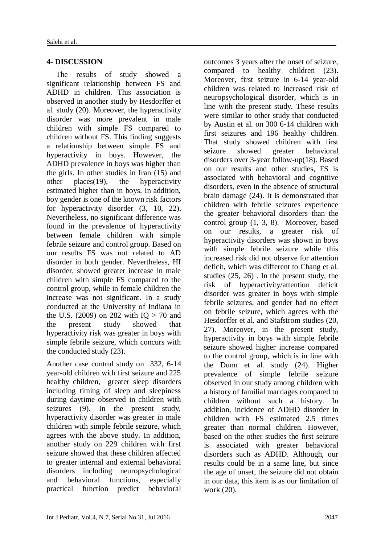# **4- DISCUSSION**

The results of study showed a significant relationship between FS and ADHD in children. This association is observed in another study by Hesdorffer et al. study [\(20\)](#page-6-7). Moreover, the hyperactivity disorder was more prevalent in male children with simple FS compared to children without FS. This finding suggests a relationship between simple FS and hyperactivity in boys. However, the ADHD prevalence in boys was higher than the girls. In other studies in Iran [\(15\)](#page-6-1) and other places[\(19\)](#page-6-6), the hyperactivity estimated higher than in boys. In addition, boy gender is one of the known risk factors for hyperactivity disorder [\(3,](#page-5-1) [10,](#page-5-8) [22\)](#page-6-9). Nevertheless, no significant difference was found in the prevalence of hyperactivity between female children with simple febrile seizure and control group. Based on our results FS was not related to AD disorder in both gender. Nevertheless, HI disorder, showed greater increase in male children with simple FS compared to the control group, while in female children the increase was not significant. In a study conducted at the University of Indiana in the U.S. (2009) on 282 with  $IO > 70$  and the present study showed that hyperactivity risk was greater in boys with simple febrile seizure, which concurs with the conducted study [\(23\)](#page-6-10).

Another case control study on 332, 6-14 year-old children with first seizure and 225 healthy children, greater sleep disorders including timing of sleep and sleepiness during daytime observed in children with seizures [\(9\)](#page-5-6). In the present study, hyperactivity disorder was greater in male children with simple febrile seizure, which agrees with the above study. In addition, another study on 229 children with first seizure showed that these children affected to greater internal and external behavioral disorders including neuropsychological and behavioral functions, especially practical function predict behavioral outcomes 3 years after the onset of seizure, compared to healthy children [\(23\)](#page-6-10). Moreover, first seizure in 6-14 year-old children was related to increased risk of neuropsychological disorder, which is in line with the present study. These results were similar to other study that conducted by Austin et al. on 300 6-14 children with first seizures and 196 healthy children. That study showed children with first seizure showed greater behavioral disorders over 3-year follow-up[\(18\)](#page-6-5). Based on our results and other studies, FS is associated with behavioral and cognitive disorders, even in the absence of structural brain damage [\(24\)](#page-6-11). It is demonstrated that children with febrile seizures experience the greater behavioral disorders than the control group [\(1,](#page-5-0) [3,](#page-5-1) [8\)](#page-5-5). Moreover, based on our results, a greater risk of hyperactivity disorders was shown in boys with simple febrile seizure while this increased risk did not observe for attention deficit, which was different to Chang et al. studies [\(25,](#page-6-12) [26\)](#page-6-13) . In the present study, the risk of hyperactivity/attention deficit disorder was greater in boys with simple febrile seizures, and gender had no effect on febrile seizure, which agrees with the Hesdorffer et al. and Stafstrom studies [\(20,](#page-6-7) [27\)](#page-6-14). Moreover, in the present study, hyperactivity in boys with simple febrile seizure showed higher increase compared to the control group, which is in line with the Dunn et al. study [\(24\)](#page-6-11). Higher prevalence of simple febrile seizure observed in our study among children with a history of familial marriages compared to children without such a history. In addition, incidence of ADHD disorder in children with FS estimated 2.5 times greater than normal children. However, based on the other studies the first seizure is associated with greater behavioral disorders such as ADHD. Although, our results could be in a same line, but since the age of onset, the seizure did not obtain in our data, this item is as our limitation of work [\(20\)](#page-6-7).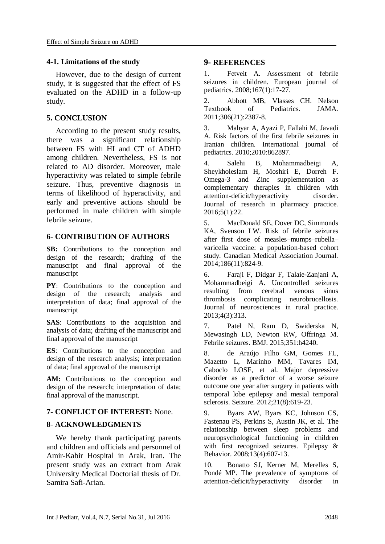### **4-1. Limitations of the study**

However, due to the design of current study, it is suggested that the effect of FS evaluated on the ADHD in a follow-up study.

### **5. CONCLUSION**

According to the present study results, there was a significant relationship between FS with HI and CT of ADHD among children. Nevertheless, FS is not related to AD disorder. Moreover, male hyperactivity was related to simple febrile seizure. Thus, preventive diagnosis in terms of likelihood of hyperactivity, and early and preventive actions should be performed in male children with simple febrile seizure.

### **6- CONTRIBUTION OF AUTHORS**

**SB:** Contributions to the conception and design of the research; drafting of the manuscript and final approval of the manuscript

**PY**: Contributions to the conception and design of the research; analysis and interpretation of data; final approval of the manuscript

**SAS**: Contributions to the acquisition and analysis of data; drafting of the manuscript and final approval of the manuscript

**ES**: Contributions to the conception and design of the research analysis; interpretation of data; final approval of the manuscript

AM: Contributions to the conception and design of the research; interpretation of data; final approval of the manuscript.

# **7- CONFLICT OF INTEREST:** None.

### **8- ACKNOWLEDGMENTS**

We hereby thank participating parents and children and officials and personnel of Amir-Kabir Hospital in Arak, Iran. The present study was an extract from Arak University Medical Doctorial thesis of Dr. Samira Safi-Arian.

## **9- REFERENCES**

<span id="page-5-0"></span>1. Fetveit A. Assessment of febrile seizures in children. European journal of pediatrics. 2008;167(1):17-27.

<span id="page-5-7"></span>2. Abbott MB, Vlasses CH. Nelson Textbook of Pediatrics. JAMA. 2011;306(21):2387-8.

<span id="page-5-1"></span>3. Mahyar A, Ayazi P, Fallahi M, Javadi A. Risk factors of the first febrile seizures in Iranian children. International journal of pediatrics. 2010;2010:862897.

4. Salehi B, Mohammadbeigi A, Sheykholeslam H, Moshiri E, Dorreh F. Omega-3 and Zinc supplementation as complementary therapies in children with attention-deficit/hyperactivity disorder. Journal of research in pharmacy practice. 2016;5(1):22.

<span id="page-5-2"></span>5. MacDonald SE, Dover DC, Simmonds KA, Svenson LW. Risk of febrile seizures after first dose of measles–mumps–rubella– varicella vaccine: a population-based cohort study. Canadian Medical Association Journal. 2014;186(11):824-9.

<span id="page-5-3"></span>6. Faraji F, Didgar F, Talaie-Zanjani A, Mohammadbeigi A. Uncontrolled seizures resulting from cerebral venous sinus thrombosis complicating neurobrucellosis. Journal of neurosciences in rural practice. 2013;4(3):313.

<span id="page-5-4"></span>7. Patel N, Ram D, Swiderska N, Mewasingh LD, Newton RW, Offringa M. Febrile seizures. BMJ. 2015;351:h4240.

<span id="page-5-5"></span>8. de Araújo Filho GM, Gomes FL, Mazetto L, Marinho MM, Tavares IM, Caboclo LOSF, et al. Major depressive disorder as a predictor of a worse seizure outcome one year after surgery in patients with temporal lobe epilepsy and mesial temporal sclerosis. Seizure. 2012;21(8):619-23.

<span id="page-5-6"></span>9. Byars AW, Byars KC, Johnson CS, Fastenau PS, Perkins S, Austin JK, et al. The relationship between sleep problems and neuropsychological functioning in children with first recognized seizures. Epilepsy & Behavior. 2008;13(4):607-13.

<span id="page-5-8"></span>10. Bonatto SJ, Kerner M, Merelles S, Pondé MP. The prevalence of symptoms of attention-deficit/hyperactivity disorder in